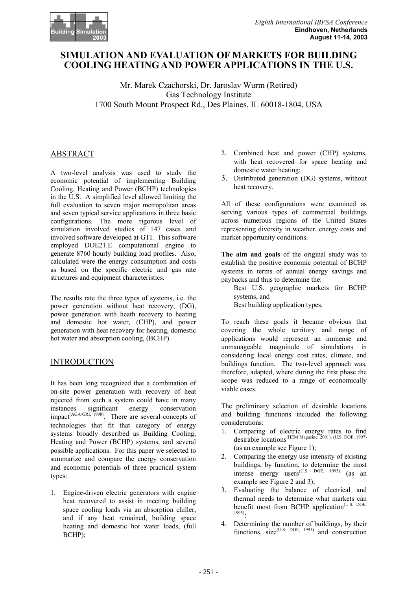

# **SIMULATION AND EVALUATION OF MARKETS FOR BUILDING COOLING HEATING AND POWER APPLICATIONS IN THE U.S.**

Mr. Marek Czachorski, Dr. Jaroslav Wurm (Retired) Gas Technology Institute 1700 South Mount Prospect Rd., Des Plaines, IL 60018-1804, USA

## ABSTRACT

A two-level analysis was used to study the economic potential of implementing Building Cooling, Heating and Power (BCHP) technologies in the U.S. A simplified level allowed limiting the full evaluation to seven major metropolitan areas and seven typical service applications in three basic configurations. The more rigorous level of simulation involved studies of 147 cases and involved software developed at GTI. This software employed DOE21.E computational engine to generate 8760 hourly building load profiles. Also, calculated were the energy consumption and costs as based on the specific electric and gas rate structures and equipment characteristics.

The results rate the three types of systems, i.e. the power generation without heat recovery, (DG), power generation with heath recovery to heating and domestic hot water, (CHP), and power generation with heat recovery for heating, domestic hot water and absorption cooling, (BCHP).

## INTRODUCTION

It has been long recognized that a combination of on-site power generation with recovery of heat rejected from such a system could have in many<br>instances significant energy conservation instances significant energy conservation impact<sup>(AGA/GRI, 1998)</sup>. There are several concepts of technologies that fit that category of energy systems broadly described as Building Cooling, Heating and Power (BCHP) systems, and several possible applications. For this paper we selected to summarize and compare the energy conservation and economic potentials of three practical system types:

1. Engine-driven electric generators with engine heat recovered to assist in meeting building space cooling loads via an absorption chiller, and if any heat remained, building space heating and domestic hot water loads, (full BCHP);

- 2. Combined heat and power (CHP) systems, with heat recovered for space heating and domestic water heating;
- 3. Distributed generation (DG) systems, without heat recovery.

All of these configurations were examined as serving various types of commercial buildings across numerous regions of the United States representing diversity in weather, energy costs and market opportunity conditions.

**The aim and goals** of the original study was to establish the positive economic potential of BCHP systems in terms of annual energy savings and paybacks and thus to determine the:

 Best U.S. geographic markets for BCHP systems, and Best building application types.

To reach these goals it became obvious that covering the whole territory and range of applications would represent an immense and unmanageable magnitude of simulations in considering local energy cost rates, climate, and buildings function. The two-level approach was, therefore, adapted, where during the first phase the scope was reduced to a range of economically viable cases.

The preliminary selection of desirable locations and building functions included the following considerations:

- 1. Comparing of electric energy rates to find desirable locations(HEM Magazine, 2001), (U.S. DOE, 1997) (as an example see Figure 1);
- 2. Comparing the energy use intensity of existing buildings, by function, to determine the most intense energy users<sup>(U.S. DOE, 1995)</sup> (as an example see Figure 2 and 3);
- 3. Evaluating the balance of electrical and thermal needs to determine what markets can benefit most from BCHP application<sup>(U.S. DOE,</sup> 1995);
- 4. Determining the number of buildings, by their functions,  $size^{(U.S. DOE, 1995)}$  and construction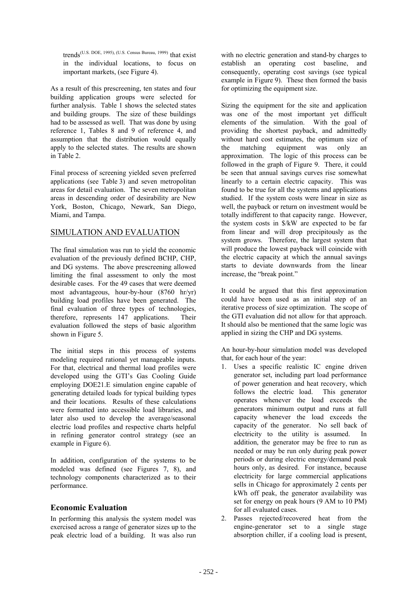trends (U.S. DOE, 1995), (U.S. Census Bureau, 1999) that exist in the individual locations, to focus on important markets, (see Figure 4).

As a result of this prescreening, ten states and four building application groups were selected for further analysis. Table 1 shows the selected states and building groups. The size of these buildings had to be assessed as well. That was done by using reference 1, Tables 8 and 9 of reference 4, and assumption that the distribution would equally apply to the selected states. The results are shown in Table 2.

Final process of screening yielded seven preferred applications (see Table 3) and seven metropolitan areas for detail evaluation. The seven metropolitan areas in descending order of desirability are New York, Boston, Chicago, Newark, San Diego, Miami, and Tampa.

## SIMULATION AND EVALUATION

The final simulation was run to yield the economic evaluation of the previously defined BCHP, CHP and DG systems. The above prescreening allowed limiting the final assessment to only the most desirable cases. For the 49 cases that were deemed most advantageous, hour-by-hour (8760 hr/yr) building load profiles have been generated. The final evaluation of three types of technologies, therefore, represents 147 applications. Their evaluation followed the steps of basic algorithm shown in Figure 5.

The initial steps in this process of systems modeling required rational yet manageable inputs. For that, electrical and thermal load profiles were developed using the GTI's Gas Cooling Guide employing DOE21.E simulation engine capable of generating detailed loads for typical building types and their locations. Results of these calculations were formatted into accessible load libraries, and later also used to develop the average/seasonal electric load profiles and respective charts helpful in refining generator control strategy (see an example in Figure 6).

In addition, configuration of the systems to be modeled was defined (see Figures 7, 8), and technology components characterized as to their performance.

#### **Economic Evaluation**

In performing this analysis the system model was exercised across a range of generator sizes up to the peak electric load of a building. It was also run with no electric generation and stand-by charges to establish an operating cost baseline, and consequently, operating cost savings (see typical example in Figure 9). These then formed the basis for optimizing the equipment size.

Sizing the equipment for the site and application was one of the most important yet difficult elements of the simulation. With the goal of providing the shortest payback, and admittedly without hard cost estimates, the optimum size of the matching equipment was only an approximation. The logic of this process can be followed in the graph of Figure 9. There, it could be seen that annual savings curves rise somewhat linearly to a certain electric capacity. This was found to be true for all the systems and applications studied. If the system costs were linear in size as well, the payback or return on investment would be totally indifferent to that capacity range. However, the system costs in \$/kW are expected to be far from linear and will drop precipitously as the system grows. Therefore, the largest system that will produce the lowest payback will coincide with the electric capacity at which the annual savings starts to deviate downwards from the linear increase, the "break point."

It could be argued that this first approximation could have been used as an initial step of an iterative process of size optimization. The scope of the GTI evaluation did not allow for that approach. It should also be mentioned that the same logic was applied in sizing the CHP and DG systems.

An hour-by-hour simulation model was developed that, for each hour of the year:

- 1. Uses a specific realistic IC engine driven generator set, including part load performance of power generation and heat recovery, which follows the electric load. This generator operates whenever the load exceeds the generators minimum output and runs at full capacity whenever the load exceeds the capacity of the generator. No sell back of electricity to the utility is assumed. In addition, the generator may be free to run as needed or may be run only during peak power periods or during electric energy/demand peak hours only, as desired. For instance, because electricity for large commercial applications sells in Chicago for approximately 2 cents per kWh off peak, the generator availability was set for energy on peak hours (9 AM to 10 PM) for all evaluated cases.
- 2. Passes rejected/recovered heat from the engine-generator set to a single stage absorption chiller, if a cooling load is present,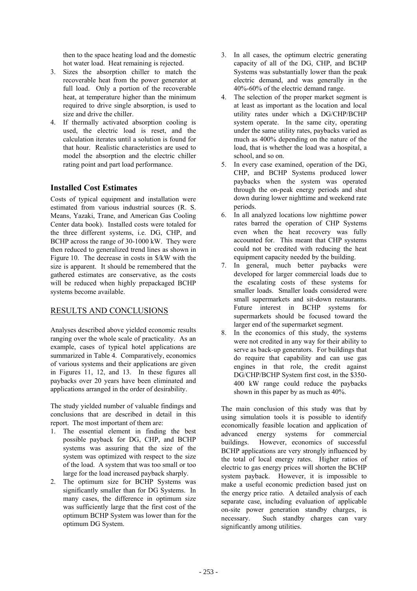then to the space heating load and the domestic hot water load. Heat remaining is rejected.

- 3. Sizes the absorption chiller to match the recoverable heat from the power generator at full load. Only a portion of the recoverable heat, at temperature higher than the minimum required to drive single absorption, is used to size and drive the chiller.
- 4. If thermally activated absorption cooling is used, the electric load is reset, and the calculation iterates until a solution is found for that hour. Realistic characteristics are used to model the absorption and the electric chiller rating point and part load performance.

## **Installed Cost Estimates**

Costs of typical equipment and installation were estimated from various industrial sources (R. S. Means, Yazaki, Trane, and American Gas Cooling Center data book). Installed costs were totaled for the three different systems, i.e. DG, CHP, and BCHP across the range of 30-1000 kW. They were then reduced to generalized trend lines as shown in Figure 10. The decrease in costs in \$/kW with the size is apparent. It should be remembered that the gathered estimates are conservative, as the costs will be reduced when highly prepackaged BCHP systems become available.

## RESULTS AND CONCLUSIONS

Analyses described above yielded economic results ranging over the whole scale of practicality. As an example, cases of typical hotel applications are summarized in Table 4. Comparatively, economics of various systems and their applications are given in Figures 11, 12, and 13. In these figures all paybacks over 20 years have been eliminated and applications arranged in the order of desirability.

The study yielded number of valuable findings and conclusions that are described in detail in this report. The most important of them are:

- 1. The essential element in finding the best possible payback for DG, CHP, and BCHP systems was assuring that the size of the system was optimized with respect to the size of the load. A system that was too small or too large for the load increased payback sharply.
- 2. The optimum size for BCHP Systems was significantly smaller than for DG Systems. In many cases, the difference in optimum size was sufficiently large that the first cost of the optimum BCHP System was lower than for the optimum DG System.
- 3. In all cases, the optimum electric generating capacity of all of the DG, CHP, and BCHP Systems was substantially lower than the peak electric demand, and was generally in the 40%-60% of the electric demand range.
- 4. The selection of the proper market segment is at least as important as the location and local utility rates under which a DG/CHP/BCHP system operate. In the same city, operating under the same utility rates, paybacks varied as much as 400% depending on the nature of the load, that is whether the load was a hospital, a school, and so on.
- 5. In every case examined, operation of the DG, CHP, and BCHP Systems produced lower paybacks when the system was operated through the on-peak energy periods and shut down during lower nighttime and weekend rate periods.
- 6. In all analyzed locations low nighttime power rates barred the operation of CHP Systems even when the heat recovery was fully accounted for. This meant that CHP systems could not be credited with reducing the heat equipment capacity needed by the building.
- 7. In general, much better paybacks were developed for larger commercial loads due to the escalating costs of these systems for smaller loads. Smaller loads considered were small supermarkets and sit-down restaurants. Future interest in BCHP systems for supermarkets should be focused toward the larger end of the supermarket segment.
- 8. In the economics of this study, the systems were not credited in any way for their ability to serve as back-up generators. For buildings that do require that capability and can use gas engines in that role, the credit against DG/CHP/BCHP System first cost, in the \$350- 400 kW range could reduce the paybacks shown in this paper by as much as 40%.

The main conclusion of this study was that by using simulation tools it is possible to identify economically feasible location and application of advanced energy systems for commercial buildings. However, economics of successful BCHP applications are very strongly influenced by the total of local energy rates. Higher ratios of electric to gas energy prices will shorten the BCHP system payback. However, it is impossible to make a useful economic prediction based just on the energy price ratio. A detailed analysis of each separate case, including evaluation of applicable on-site power generation standby charges, is necessary. Such standby charges can vary significantly among utilities.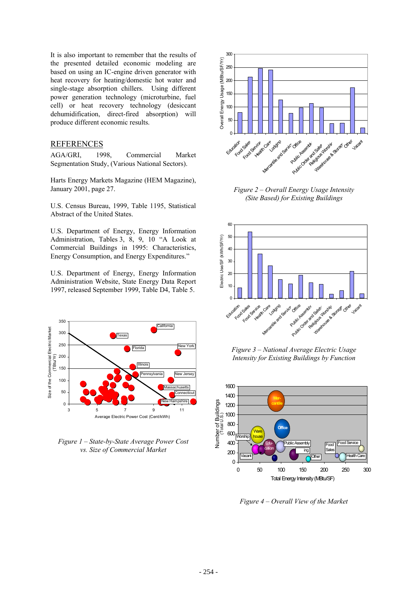It is also important to remember that the results of the presented detailed economic modeling are based on using an IC-engine driven generator with heat recovery for heating/domestic hot water and single-stage absorption chillers. Using different power generation technology (microturbine, fuel cell) or heat recovery technology (desiccant dehumidification, direct-fired absorption) will produce different economic results.

#### REFERENCES

AGA/GRI, 1998, Commercial Market Segmentation Study, (Various National Sectors).

Harts Energy Markets Magazine (HEM Magazine), January 2001, page 27.

U.S. Census Bureau, 1999, Table 1195, Statistical Abstract of the United States.

U.S. Department of Energy, Energy Information Administration, Tables 3, 8, 9, 10 "A Look at Commercial Buildings in 1995: Characteristics, Energy Consumption, and Energy Expenditures."

U.S. Department of Energy, Energy Information Administration Website, State Energy Data Report 1997, released September 1999, Table D4, Table 5.



*Figure 1 – State-by-State Average Power Cost vs. Size of Commercial Market*



*Figure 2 – Overall Energy Usage Intensity (Site Based) for Existing Buildings*



*Figure 3 – National Average Electric Usage Intensity for Existing Buildings by Function* 



*Figure 4 – Overall View of the Market*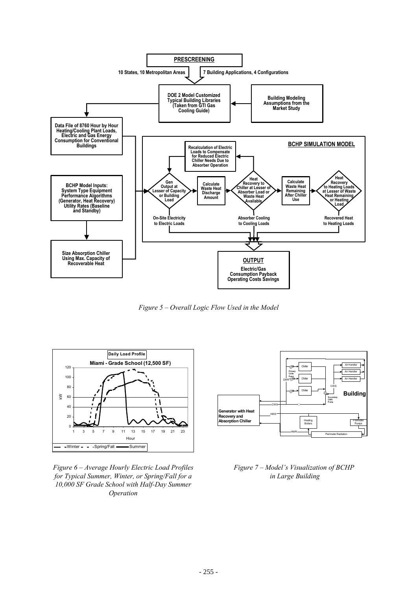

*Figure 5 – Overall Logic Flow Used in the Model*



*Figure 6 – Average Hourly Electric Load Profiles for Typical Summer, Winter, or Spring/Fall for a 10,000 SF Grade School with Half-Day Summer Operation*



*Figure 7 – Model's Visualization of BCHP in Large Building*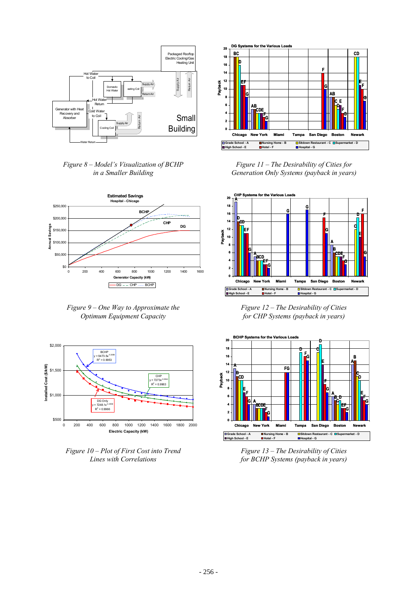

*Figure 8 – Model's Visualization of BCHP in a Smaller Building*



*Figure 9 – One Way to Approximate the Optimum Equipment Capacity* 



*Figure 10 – Plot of First Cost into Trend Lines with Correlations* 



*Figure 11 – The Desirability of Cities for Generation Only Systems (payback in years)*



*Figure 12 – The Desirability of Cities for CHP Systems (payback in years)*



*Figure 13 – The Desirability of Cities for BCHP Systems (payback in years)*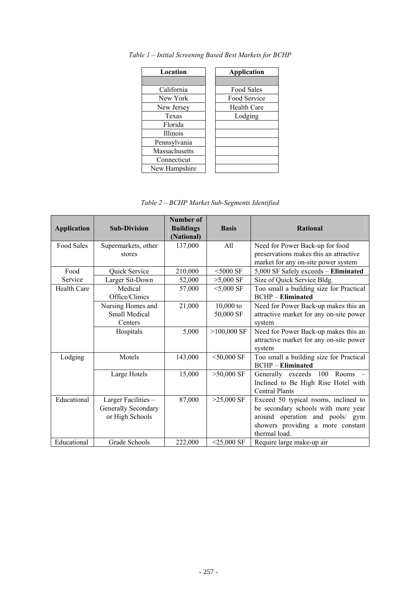| Location        | <b>Application</b> |
|-----------------|--------------------|
|                 |                    |
| California      | Food Sales         |
| New York        | Food Service       |
| New Jersey      | <b>Health Care</b> |
| Texas           | Lodging            |
| Florida         |                    |
| <b>Illinois</b> |                    |
| Pennsylvania    |                    |
| Massachusetts   |                    |
| Connecticut     |                    |
| New Hampshire   |                    |

*Table 1 – Initial Screening Based Best Markets for BCHP* 

*Table 2 – BCHP Market Sub-Segments Identified*

| <b>Application</b> | <b>Sub-Division</b> | Number of<br><b>Buildings</b><br>(National) | <b>Basis</b>  | <b>Rational</b>                         |
|--------------------|---------------------|---------------------------------------------|---------------|-----------------------------------------|
| Food Sales         | Supermarkets, other | 137,000                                     | All           | Need for Power Back-up for food         |
|                    | stores              |                                             |               | preservations makes this an attractive  |
|                    |                     |                                             |               | market for any on-site power system     |
| Food               | Quick Service       | 210,000                                     | $<$ 5000 SF   | 5,000 SF Safely exceeds - Eliminated    |
| Service            | Larger Sit-Down     | 52,000                                      | $>5,000$ SF   | Size of Quick Service Bldg.             |
| Health Care        | Medical             | 57,000                                      | $<$ 5,000 SF  | Too small a building size for Practical |
|                    | Office/Clinics      |                                             |               | <b>BCHP</b> - <b>Eliminated</b>         |
|                    | Nursing Homes and   | 21,000                                      | $10,000$ to   | Need for Power Back-up makes this an    |
|                    | Small Medical       |                                             | 50,000 SF     | attractive market for any on-site power |
|                    | Centers             |                                             |               | system                                  |
|                    | Hospitals           | 5,000                                       | $>100,000$ SF | Need for Power Back-up makes this an    |
|                    |                     |                                             |               | attractive market for any on-site power |
|                    |                     |                                             |               | system                                  |
| Lodging            | Motels              | 143,000                                     | $<$ 50,000 SF | Too small a building size for Practical |
|                    |                     |                                             |               | <b>BCHP</b> – <b>Eliminated</b>         |
|                    | Large Hotels        | 15,000                                      | $>50,000$ SF  | Generally exceeds<br>100<br>Rooms       |
|                    |                     |                                             |               | Inclined to Be High Rise Hotel with     |
|                    |                     |                                             |               | <b>Central Plants</b>                   |
| Educational        | Larger Facilities - | 87,000                                      | $>25,000$ SF  | Exceed 50 typical rooms, inclined to    |
|                    | Generally Secondary |                                             |               | be secondary schools with more year     |
|                    | or High Schools     |                                             |               | around operation and pools/ gym         |
|                    |                     |                                             |               | showers providing a more constant       |
|                    |                     |                                             |               | thermal load.                           |
| Educational        | Grade Schools       | 222,000                                     | $<$ 25,000 SF | Require large make-up air               |